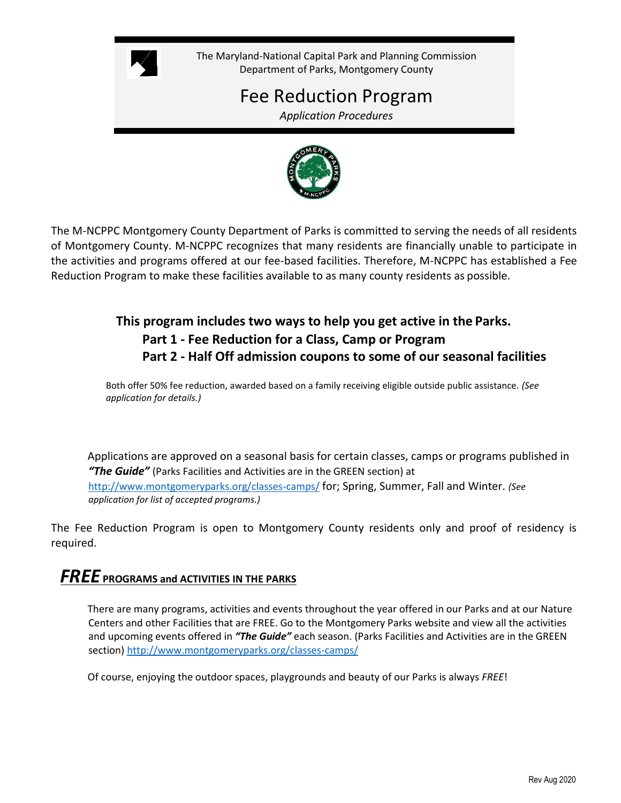

The Maryland-National Capital Park and Planning Commission Department of Parks, Montgomery County

# Fee Reduction Program

*Application Procedures*



The M-NCPPC Montgomery County Department of Parks is committed to serving the needs of all residents of Montgomery County. M-NCPPC recognizes that many residents are financially unable to participate in the activities and programs offered at our fee-based facilities. Therefore, M-NCPPC has established a Fee Reduction Program to make these facilities available to as many county residents as possible.

## **This program includes two ways to help you get active in the Parks. Part 1 - Fee Reduction for a Class, Camp or Program Part 2 - Half Off admission coupons to some of our seasonal facilities**

Both offer 50% fee reduction, awarded based on a family receiving eligible outside public assistance. *(See application for details.)*

Applications are approved on a seasonal basis for certain classes, camps or programs published in *"The Guide"* (Parks Facilities and Activities are in the GREEN section) at <http://www.montgomeryparks.org/classes-camps/> for; Spring, Summer, Fall and Winter. *(See application for list of accepted programs.)*

The Fee Reduction Program is open to Montgomery County residents only and proof of residency is required.

## *FREE* **PROGRAMS and ACTIVITIES IN THE PARKS**

There are many programs, activities and events throughout the year offered in our Parks and at our Nature Centers and other Facilities that are FREE. Go to the Montgomery Parks website and view all the activities and upcoming events offered in *"The Guide"* each season. (Parks Facilities and Activities are in the GREEN section)<http://www.montgomeryparks.org/classes-camps/>

Of course, enjoying the outdoor spaces, playgrounds and beauty of our Parks is always *FREE*!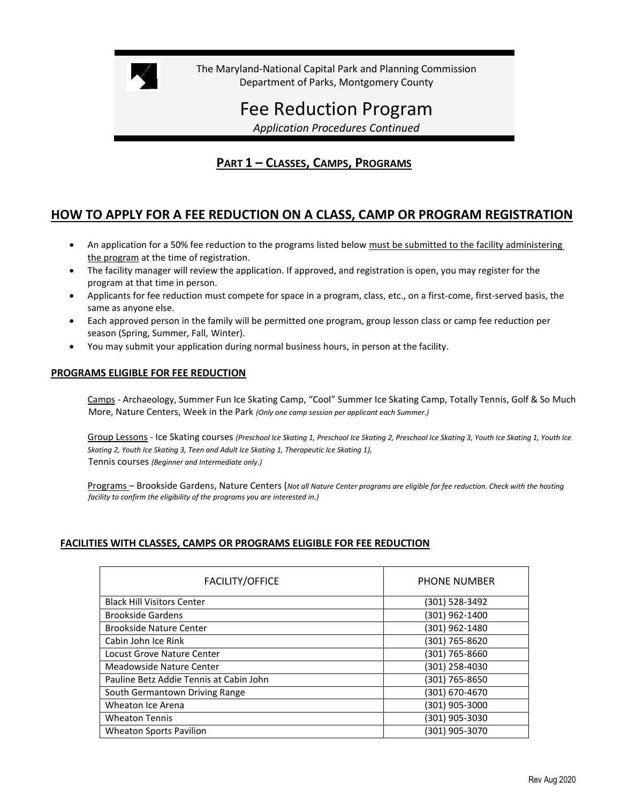

The Maryland-National Capital Park and Planning Commission Department of Parks, Montgomery County

# Fee Reduction Program

*Application Procedures Continued*

## **PART 1 – CLASSES, CAMPS, PROGRAMS**

## **HOW TO APPLY FOR A FEE REDUCTION ON A CLASS, CAMP OR PROGRAM REGISTRATION**

- An application for a 50% fee reduction to the programs listed below must be submitted to the facility administering the program at the time of registration.
- The facility manager will review the application. If approved, and registration is open, you may register for the program at that time in person.
- Applicants for fee reduction must compete for space in a program, class, etc., on a first-come, first-served basis, the same as anyone else.
- Each approved person in the family will be permitted one program, group lesson class or camp fee reduction per season (Spring, Summer, Fall, Winter).
- You may submit your application during normal business hours, in person at the facility.

#### **PROGRAMS ELIGIBLE FOR FEE REDUCTION**

Camps - Archaeology, Summer Fun Ice Skating Camp, "Cool" Summer Ice Skating Camp, Totally Tennis, Golf & So Much More, Nature Centers, Week in the Park *(Only one camp session per applicant each Summer.)*

Group Lessons - Ice Skating courses *(Preschool Ice Skating 1, Preschool Ice Skating 2, Preschool Ice Skating 3, Youth Ice Skating 1, Youth Ice Skating 2, Youth Ice Skating 3, Teen and Adult Ice Skating 1, Therapeutic Ice Skating 1),* Tennis courses *(Beginner and Intermediate only.)*

Programs – Brookside Gardens, Nature Centers (*Not all Nature Center programs are eligible for fee reduction. Check with the hosting facility to confirm the eligibility of the programs you are interested in.)*

#### **FACILITIES WITH CLASSES, CAMPS OR PROGRAMS ELIGIBLE FOR FEE REDUCTION**

| <b>FACILITY/OFFICE</b>                  | <b>PHONE NUMBER</b> |
|-----------------------------------------|---------------------|
| <b>Black Hill Visitors Center</b>       | (301) 528-3492      |
| <b>Brookside Gardens</b>                | (301) 962-1400      |
| <b>Brookside Nature Center</b>          | (301) 962-1480      |
| Cabin John Ice Rink                     | (301) 765-8620      |
| Locust Grove Nature Center              | (301) 765-8660      |
| Meadowside Nature Center                | (301) 258-4030      |
| Pauline Betz Addie Tennis at Cabin John | (301) 765-8650      |
| South Germantown Driving Range          | (301) 670-4670      |
| Wheaton Ice Arena                       | (301) 905-3000      |
| <b>Wheaton Tennis</b>                   | (301) 905-3030      |
| <b>Wheaton Sports Pavilion</b>          | (301) 905-3070      |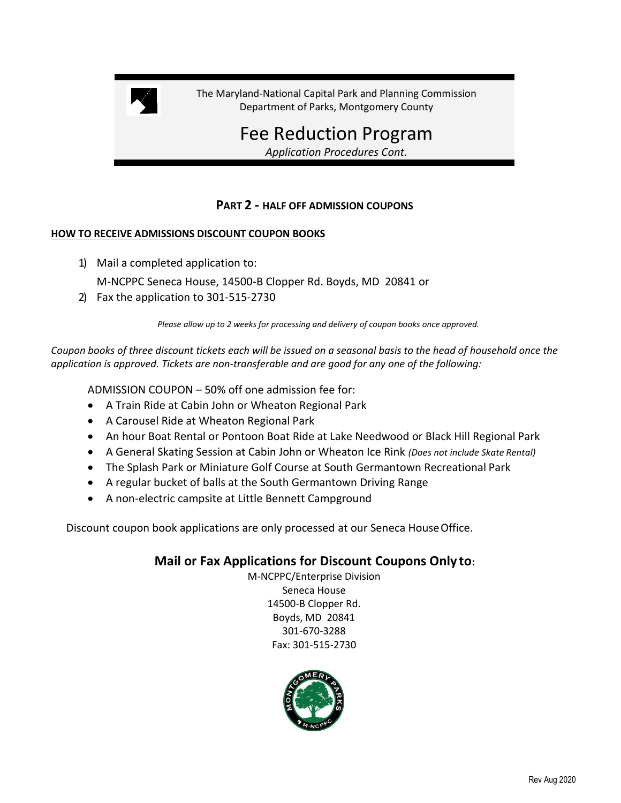

The Maryland-National Capital Park and Planning Commission Department of Parks, Montgomery County

> Fee Reduction Program *Application Procedures Cont.*

### **PART 2 - HALF OFF ADMISSION COUPONS**

#### **HOW TO RECEIVE ADMISSIONS DISCOUNT COUPON BOOKS**

1) Mail a completed application to:

M-NCPPC Seneca House, 14500-B Clopper Rd. Boyds, MD 20841 or

2) Fax the application to 301-515-2730

*Please allow up to 2 weeks for processing and delivery of coupon books once approved.*

*Coupon books of three discount tickets each will be issued on a seasonal basis to the head of household once the application is approved. Tickets are non-transferable and are good for any one of the following:*

ADMISSION COUPON – 50% off one admission fee for:

- A Train Ride at Cabin John or Wheaton Regional Park
- A Carousel Ride at Wheaton Regional Park
- An hour Boat Rental or Pontoon Boat Ride at Lake Needwood or Black Hill Regional Park
- A General Skating Session at Cabin John or Wheaton Ice Rink *(Does not include Skate Rental)*
- The Splash Park or Miniature Golf Course at South Germantown Recreational Park
- A regular bucket of balls at the South Germantown Driving Range
- A non-electric campsite at Little Bennett Campground

Discount coupon book applications are only processed at our Seneca HouseOffice.

### **Mail or Fax Applications for Discount Coupons Only to:**

M-NCPPC/Enterprise Division Seneca House 14500-B Clopper Rd. Boyds, MD 20841 301-670-3288 Fax: 301-515-2730